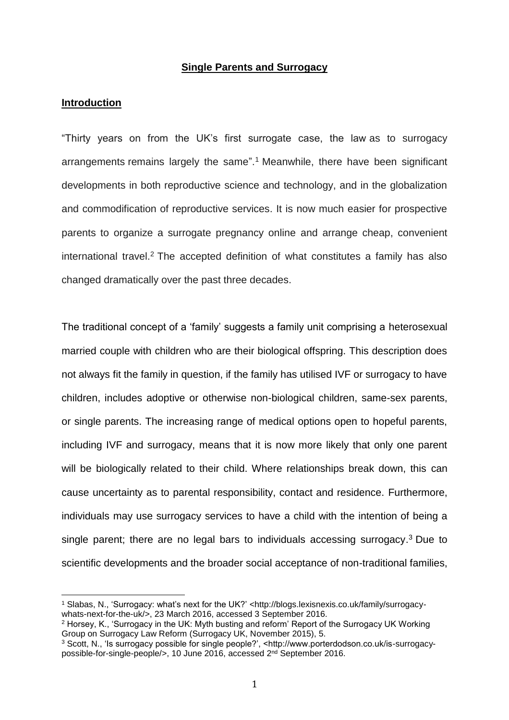### **Single Parents and Surrogacy**

# **Introduction**

 $\overline{a}$ 

"Thirty years on from the UK's first surrogate case, the law as to surrogacy arrangements remains largely the same". <sup>1</sup> Meanwhile, there have been significant developments in both reproductive science and technology, and in the globalization and commodification of reproductive services. It is now much easier for prospective parents to organize a surrogate pregnancy online and arrange cheap, convenient international travel.<sup>2</sup> The accepted definition of what constitutes a family has also changed dramatically over the past three decades.

The traditional concept of a 'family' suggests a family unit comprising a heterosexual married couple with children who are their biological offspring. This description does not always fit the family in question, if the family has utilised IVF or surrogacy to have children, includes adoptive or otherwise non-biological children, same-sex parents, or single parents. The increasing range of medical options open to hopeful parents, including IVF and surrogacy, means that it is now more likely that only one parent will be biologically related to their child. Where relationships break down, this can cause uncertainty as to parental responsibility, contact and residence. Furthermore, individuals may use surrogacy services to have a child with the intention of being a single parent; there are no legal bars to individuals accessing surrogacy. <sup>3</sup> Due to scientific developments and the broader social acceptance of non-traditional families,

<sup>1</sup> Slabas, N., 'Surrogacy: what's next for the UK?' <http://blogs.lexisnexis.co.uk/family/surrogacywhats-next-for-the-uk/>, 23 March 2016, accessed 3 September 2016.

<sup>2</sup> Horsey, K., 'Surrogacy in the UK: Myth busting and reform' Report of the Surrogacy UK Working Group on Surrogacy Law Reform (Surrogacy UK, November 2015), 5.

<sup>3</sup> Scott, N., 'Is surrogacy possible for single people?', <http://www.porterdodson.co.uk/is-surrogacypossible-for-single-people/>, 10 June 2016, accessed 2nd September 2016.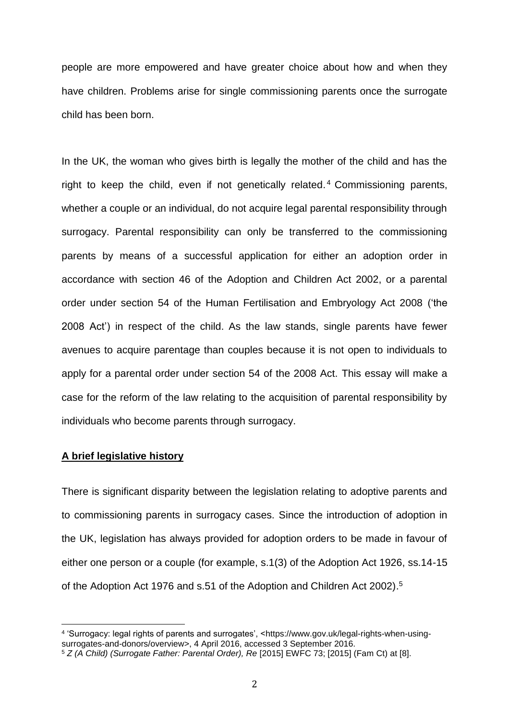people are more empowered and have greater choice about how and when they have children. Problems arise for single commissioning parents once the surrogate child has been born.

In the UK, the woman who gives birth is legally the mother of the child and has the right to keep the child, even if not genetically related. <sup>4</sup> Commissioning parents, whether a couple or an individual, do not acquire legal parental responsibility through surrogacy. Parental responsibility can only be transferred to the commissioning parents by means of a successful application for either an adoption order in accordance with section 46 of the Adoption and Children Act 2002, or a parental order under section 54 of the Human Fertilisation and Embryology Act 2008 ('the 2008 Act') in respect of the child. As the law stands, single parents have fewer avenues to acquire parentage than couples because it is not open to individuals to apply for a parental order under section 54 of the 2008 Act. This essay will make a case for the reform of the law relating to the acquisition of parental responsibility by individuals who become parents through surrogacy.

### **A brief legislative history**

 $\overline{\phantom{a}}$ 

There is significant disparity between the legislation relating to adoptive parents and to commissioning parents in surrogacy cases. Since the introduction of adoption in the UK, legislation has always provided for adoption orders to be made in favour of either one person or a couple (for example, s.1(3) of the Adoption Act 1926, ss.14-15 of the Adoption Act 1976 and s.51 of the Adoption and Children Act 2002).<sup>5</sup>

<sup>4</sup> 'Surrogacy: legal rights of parents and surrogates', <https://www.gov.uk/legal-rights-when-usingsurrogates-and-donors/overview>, 4 April 2016, accessed 3 September 2016.

<sup>5</sup> *Z (A Child) (Surrogate Father: Parental Order), Re* [2015] EWFC 73; [2015] (Fam Ct) at [8].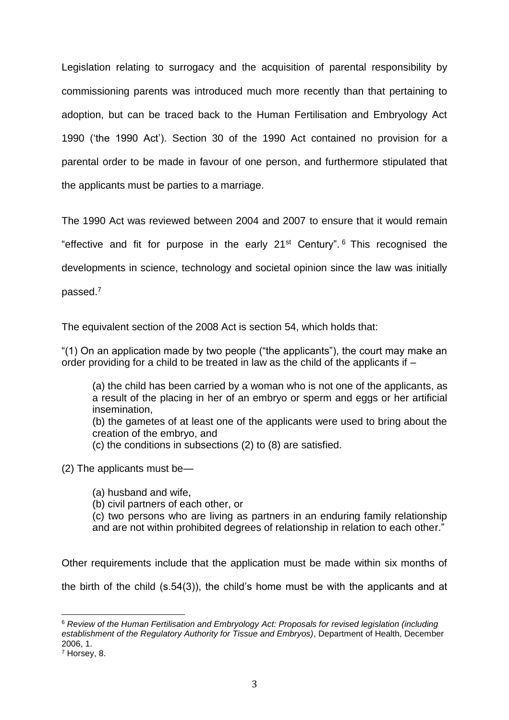Legislation relating to surrogacy and the acquisition of parental responsibility by commissioning parents was introduced much more recently than that pertaining to adoption, but can be traced back to the Human Fertilisation and Embryology Act 1990 ('the 1990 Act'). Section 30 of the 1990 Act contained no provision for a parental order to be made in favour of one person, and furthermore stipulated that the applicants must be parties to a marriage.

The 1990 Act was reviewed between 2004 and 2007 to ensure that it would remain "effective and fit for purpose in the early 21<sup>st</sup> Century". <sup>6</sup> This recognised the developments in science, technology and societal opinion since the law was initially passed.<sup>7</sup>

The equivalent section of the 2008 Act is section 54, which holds that:

"(1) On an application made by two people ("the applicants"), the court may make an order providing for a child to be treated in law as the child of the applicants if –

(a) the child has been carried by a woman who is not one of the applicants, as a result of the placing in her of an embryo or sperm and eggs or her artificial insemination,

(b) the gametes of at least one of the applicants were used to bring about the creation of the embryo, and

(c) the conditions in subsections (2) to (8) are satisfied.

(2) The applicants must be—

(a) husband and wife,

(b) civil partners of each other, or

(c) two persons who are living as partners in an enduring family relationship and are not within prohibited degrees of relationship in relation to each other."

Other requirements include that the application must be made within six months of

the birth of the child (s.54(3)), the child's home must be with the applicants and at

<sup>6</sup> *Review of the Human Fertilisation and Embryology Act: Proposals for revised legislation (including establishment of the Regulatory Authority for Tissue and Embryos)*, Department of Health, December 2006, 1.

<sup>7</sup> Horsey, 8.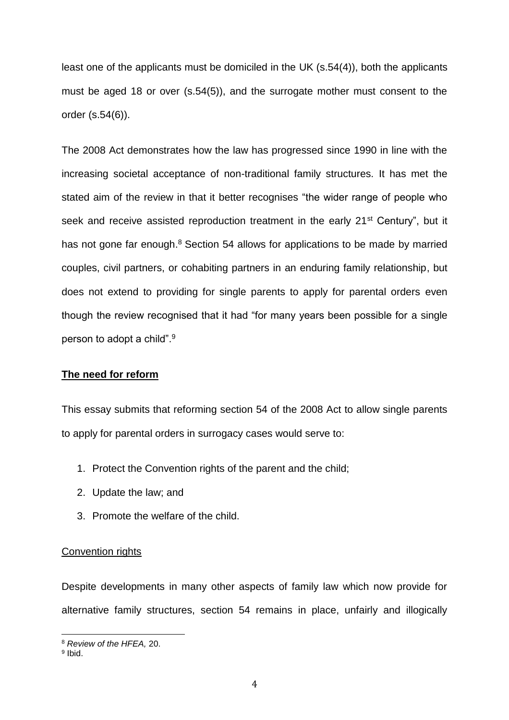least one of the applicants must be domiciled in the UK (s.54(4)), both the applicants must be aged 18 or over (s.54(5)), and the surrogate mother must consent to the order (s.54(6)).

The 2008 Act demonstrates how the law has progressed since 1990 in line with the increasing societal acceptance of non-traditional family structures. It has met the stated aim of the review in that it better recognises "the wider range of people who seek and receive assisted reproduction treatment in the early 21<sup>st</sup> Century", but it has not gone far enough.<sup>8</sup> Section 54 allows for applications to be made by married couples, civil partners, or cohabiting partners in an enduring family relationship, but does not extend to providing for single parents to apply for parental orders even though the review recognised that it had "for many years been possible for a single person to adopt a child". 9

# **The need for reform**

This essay submits that reforming section 54 of the 2008 Act to allow single parents to apply for parental orders in surrogacy cases would serve to:

- 1. Protect the Convention rights of the parent and the child;
- 2. Update the law; and
- 3. Promote the welfare of the child.

# Convention rights

Despite developments in many other aspects of family law which now provide for alternative family structures, section 54 remains in place, unfairly and illogically

<sup>8</sup> *Review of the HFEA,* 20.

<sup>&</sup>lt;sup>9</sup> Ibid.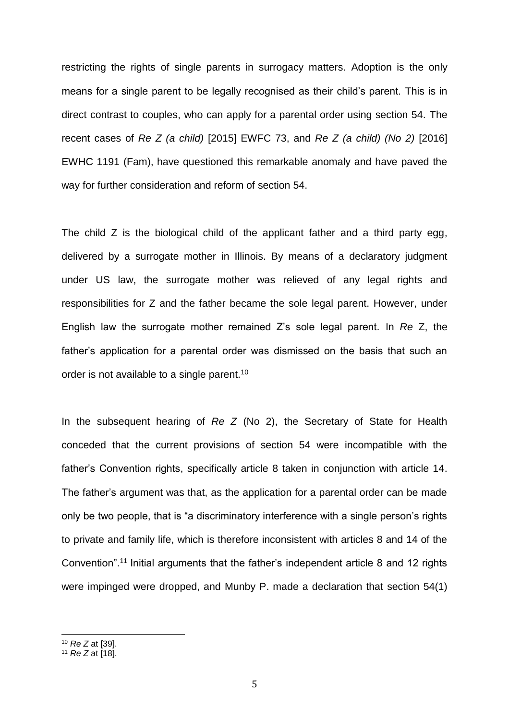restricting the rights of single parents in surrogacy matters. Adoption is the only means for a single parent to be legally recognised as their child's parent. This is in direct contrast to couples, who can apply for a parental order using section 54. The recent cases of *Re Z (a child)* [2015] EWFC 73, and *Re Z (a child) (No 2)* [2016] EWHC 1191 (Fam), have questioned this remarkable anomaly and have paved the way for further consideration and reform of section 54.

The child Z is the biological child of the applicant father and a third party egg, delivered by a surrogate mother in Illinois. By means of a declaratory judgment under US law, the surrogate mother was relieved of any legal rights and responsibilities for Z and the father became the sole legal parent. However, under English law the surrogate mother remained Z's sole legal parent. In *Re* Z, the father's application for a parental order was dismissed on the basis that such an order is not available to a single parent.<sup>10</sup>

In the subsequent hearing of *Re Z* (No 2), the Secretary of State for Health conceded that the current provisions of section 54 were incompatible with the father's Convention rights, specifically article 8 taken in conjunction with article 14. The father's argument was that, as the application for a parental order can be made only be two people, that is "a discriminatory interference with a single person's rights to private and family life, which is therefore inconsistent with articles 8 and 14 of the Convention".<sup>11</sup> Initial arguments that the father's independent article 8 and 12 rights were impinged were dropped, and Munby P. made a declaration that section 54(1)

<sup>10</sup> *Re Z* at [39].

<sup>11</sup> *Re Z* at [18].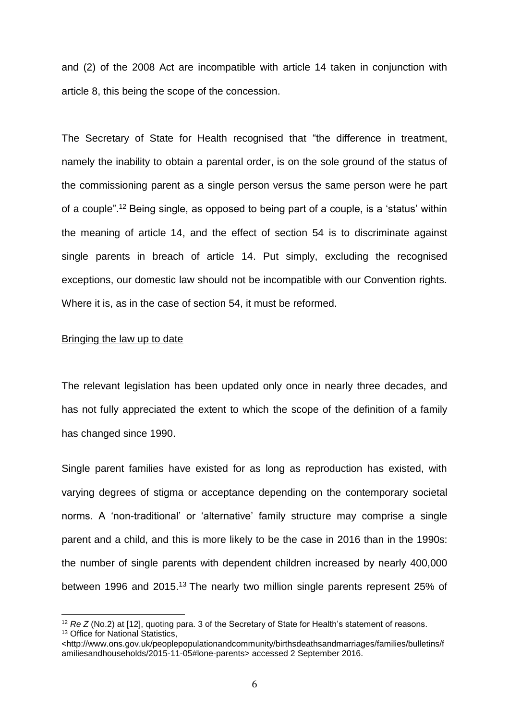and (2) of the 2008 Act are incompatible with article 14 taken in conjunction with article 8, this being the scope of the concession.

The Secretary of State for Health recognised that "the difference in treatment, namely the inability to obtain a parental order, is on the sole ground of the status of the commissioning parent as a single person versus the same person were he part of a couple". <sup>12</sup> Being single, as opposed to being part of a couple, is a 'status' within the meaning of article 14, and the effect of section 54 is to discriminate against single parents in breach of article 14. Put simply, excluding the recognised exceptions, our domestic law should not be incompatible with our Convention rights. Where it is, as in the case of section 54, it must be reformed.

#### Bringing the law up to date

 $\overline{\phantom{a}}$ 

The relevant legislation has been updated only once in nearly three decades, and has not fully appreciated the extent to which the scope of the definition of a family has changed since 1990.

Single parent families have existed for as long as reproduction has existed, with varying degrees of stigma or acceptance depending on the contemporary societal norms. A 'non-traditional' or 'alternative' family structure may comprise a single parent and a child, and this is more likely to be the case in 2016 than in the 1990s: the number of single parents with dependent children increased by nearly 400,000 between 1996 and 2015.<sup>13</sup> The nearly two million single parents represent 25% of

<sup>&</sup>lt;sup>12</sup> *Re Z* (No.2) at [12], quoting para. 3 of the Secretary of State for Health's statement of reasons. <sup>13</sup> Office for National Statistics.

<sup>&</sup>lt;http://www.ons.gov.uk/peoplepopulationandcommunity/birthsdeathsandmarriages/families/bulletins/f amiliesandhouseholds/2015-11-05#lone-parents> accessed 2 September 2016.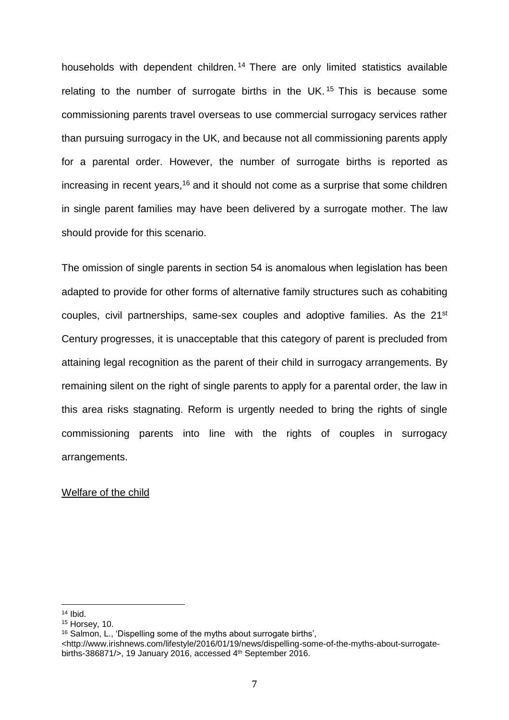households with dependent children. <sup>14</sup> There are only limited statistics available relating to the number of surrogate births in the UK. <sup>15</sup> This is because some commissioning parents travel overseas to use commercial surrogacy services rather than pursuing surrogacy in the UK, and because not all commissioning parents apply for a parental order. However, the number of surrogate births is reported as increasing in recent years, $16$  and it should not come as a surprise that some children in single parent families may have been delivered by a surrogate mother. The law should provide for this scenario.

The omission of single parents in section 54 is anomalous when legislation has been adapted to provide for other forms of alternative family structures such as cohabiting couples, civil partnerships, same-sex couples and adoptive families. As the 21<sup>st</sup> Century progresses, it is unacceptable that this category of parent is precluded from attaining legal recognition as the parent of their child in surrogacy arrangements. By remaining silent on the right of single parents to apply for a parental order, the law in this area risks stagnating. Reform is urgently needed to bring the rights of single commissioning parents into line with the rights of couples in surrogacy arrangements.

# Welfare of the child

 $14$  Ibid.

<sup>15</sup> Horsey, 10.

<sup>16</sup> Salmon, L., 'Dispelling some of the myths about surrogate births',

<sup>&</sup>lt;http://www.irishnews.com/lifestyle/2016/01/19/news/dispelling-some-of-the-myths-about-surrogatebirths-386871/>, 19 January 2016, accessed 4th September 2016.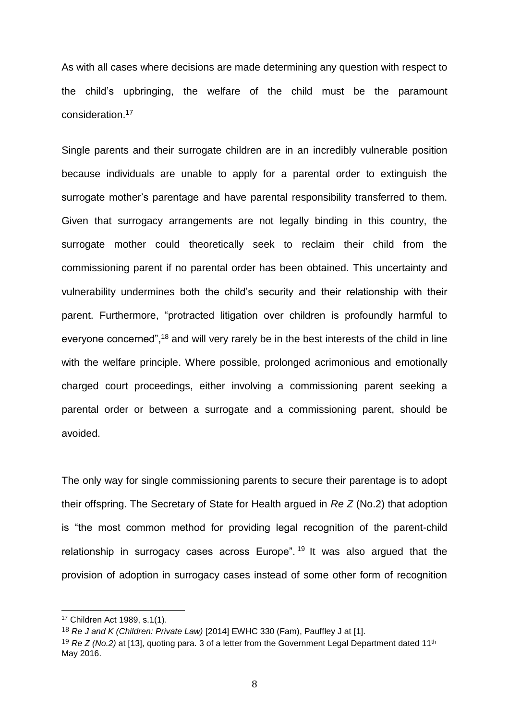As with all cases where decisions are made determining any question with respect to the child's upbringing, the welfare of the child must be the paramount consideration.<sup>17</sup>

Single parents and their surrogate children are in an incredibly vulnerable position because individuals are unable to apply for a parental order to extinguish the surrogate mother's parentage and have parental responsibility transferred to them. Given that surrogacy arrangements are not legally binding in this country, the surrogate mother could theoretically seek to reclaim their child from the commissioning parent if no parental order has been obtained. This uncertainty and vulnerability undermines both the child's security and their relationship with their parent. Furthermore, "protracted litigation over children is profoundly harmful to everyone concerned",<sup>18</sup> and will very rarely be in the best interests of the child in line with the welfare principle. Where possible, prolonged acrimonious and emotionally charged court proceedings, either involving a commissioning parent seeking a parental order or between a surrogate and a commissioning parent, should be avoided.

The only way for single commissioning parents to secure their parentage is to adopt their offspring. The Secretary of State for Health argued in *Re Z* (No.2) that adoption is "the most common method for providing legal recognition of the parent-child relationship in surrogacy cases across Europe".<sup>19</sup> It was also argued that the provision of adoption in surrogacy cases instead of some other form of recognition

<sup>17</sup> Children Act 1989, s.1(1).

<sup>18</sup> *Re J and K (Children: Private Law)* [2014] EWHC 330 (Fam), Pauffley J at [1].

<sup>&</sup>lt;sup>19</sup> Re Z (No.2) at [13], quoting para. 3 of a letter from the Government Legal Department dated 11<sup>th</sup> May 2016.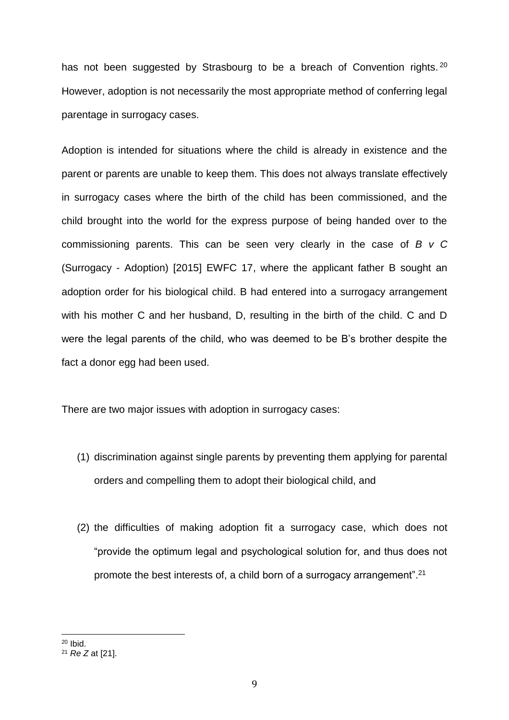has not been suggested by Strasbourg to be a breach of Convention rights. 20 However, adoption is not necessarily the most appropriate method of conferring legal parentage in surrogacy cases.

Adoption is intended for situations where the child is already in existence and the parent or parents are unable to keep them. This does not always translate effectively in surrogacy cases where the birth of the child has been commissioned, and the child brought into the world for the express purpose of being handed over to the commissioning parents. This can be seen very clearly in the case of *B v C*  (Surrogacy - Adoption) [2015] EWFC 17, where the applicant father B sought an adoption order for his biological child. B had entered into a surrogacy arrangement with his mother C and her husband, D, resulting in the birth of the child. C and D were the legal parents of the child, who was deemed to be B's brother despite the fact a donor egg had been used.

There are two major issues with adoption in surrogacy cases:

- (1) discrimination against single parents by preventing them applying for parental orders and compelling them to adopt their biological child, and
- (2) the difficulties of making adoption fit a surrogacy case, which does not "provide the optimum legal and psychological solution for, and thus does not promote the best interests of, a child born of a surrogacy arrangement".<sup>21</sup>

 $\overline{\phantom{a}}$ <sup>20</sup> Ibid.

<sup>21</sup> *Re Z* at [21].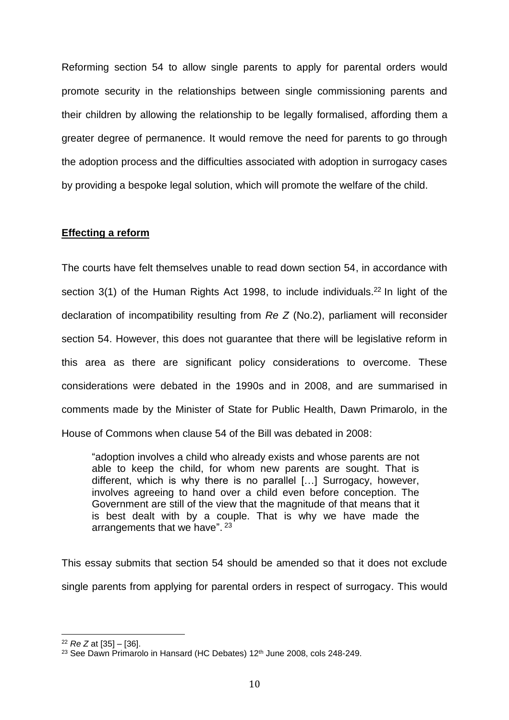Reforming section 54 to allow single parents to apply for parental orders would promote security in the relationships between single commissioning parents and their children by allowing the relationship to be legally formalised, affording them a greater degree of permanence. It would remove the need for parents to go through the adoption process and the difficulties associated with adoption in surrogacy cases by providing a bespoke legal solution, which will promote the welfare of the child.

# **Effecting a reform**

The courts have felt themselves unable to read down section 54, in accordance with section 3(1) of the Human Rights Act 1998, to include individuals.<sup>22</sup> In light of the declaration of incompatibility resulting from *Re Z* (No.2), parliament will reconsider section 54. However, this does not guarantee that there will be legislative reform in this area as there are significant policy considerations to overcome. These considerations were debated in the 1990s and in 2008, and are summarised in comments made by the Minister of State for Public Health, Dawn Primarolo, in the House of Commons when clause 54 of the Bill was debated in 2008:

"adoption involves a child who already exists and whose parents are not able to keep the child, for whom new parents are sought. That is different, which is why there is no parallel […] Surrogacy, however, involves agreeing to hand over a child even before conception. The Government are still of the view that the magnitude of that means that it is best dealt with by a couple. That is why we have made the arrangements that we have". <sup>23</sup>

This essay submits that section 54 should be amended so that it does not exclude single parents from applying for parental orders in respect of surrogacy. This would

<sup>22</sup> *Re Z* at [35] – [36].

<sup>&</sup>lt;sup>23</sup> See Dawn Primarolo in Hansard (HC Debates) 12<sup>th</sup> June 2008, cols 248-249.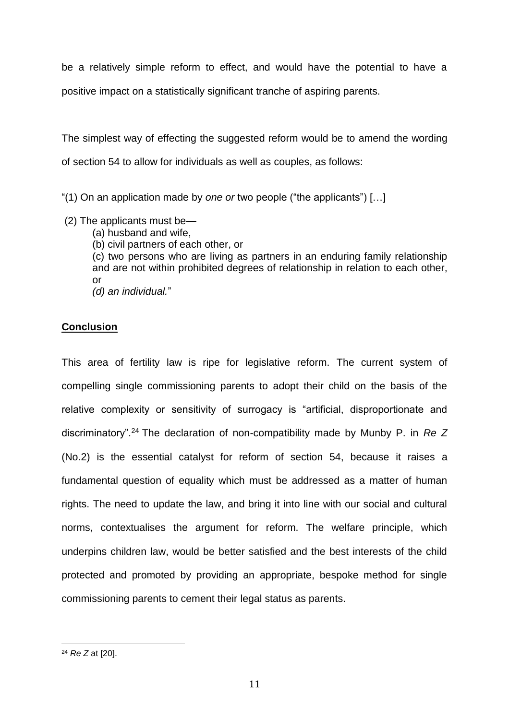be a relatively simple reform to effect, and would have the potential to have a positive impact on a statistically significant tranche of aspiring parents.

The simplest way of effecting the suggested reform would be to amend the wording of section 54 to allow for individuals as well as couples, as follows:

"(1) On an application made by *one or* two people ("the applicants") […]

- (2) The applicants must be—
	- (a) husband and wife,

(b) civil partners of each other, or

(c) two persons who are living as partners in an enduring family relationship and are not within prohibited degrees of relationship in relation to each other, or

*(d) an individual.*"

# **Conclusion**

This area of fertility law is ripe for legislative reform. The current system of compelling single commissioning parents to adopt their child on the basis of the relative complexity or sensitivity of surrogacy is "artificial, disproportionate and discriminatory".<sup>24</sup> The declaration of non-compatibility made by Munby P. in *Re Z*  (No.2) is the essential catalyst for reform of section 54, because it raises a fundamental question of equality which must be addressed as a matter of human rights. The need to update the law, and bring it into line with our social and cultural norms, contextualises the argument for reform. The welfare principle, which underpins children law, would be better satisfied and the best interests of the child protected and promoted by providing an appropriate, bespoke method for single commissioning parents to cement their legal status as parents.

 $\overline{\phantom{a}}$ <sup>24</sup> *Re Z* at [20].